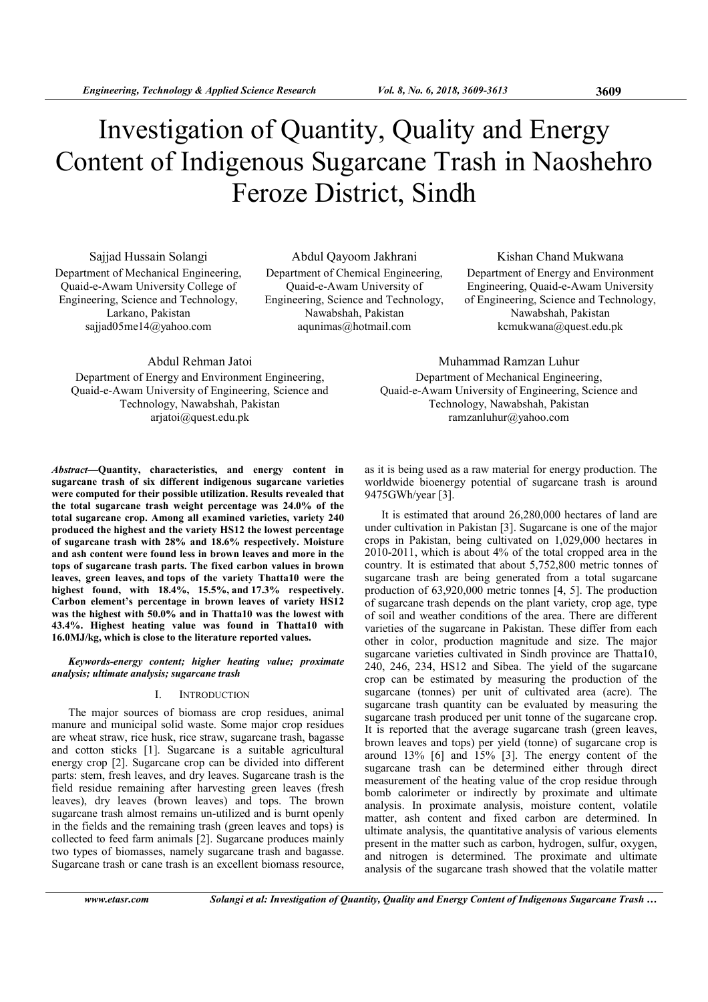# Investigation of Quantity, Quality and Energy Content of Indigenous Sugarcane Trash in Naoshehro Feroze District, Sindh

Sajjad Hussain Solangi Department of Mechanical Engineering, Quaid-e-Awam University College of Engineering, Science and Technology, Larkano, Pakistan sajjad05me14@yahoo.com

Abdul Qayoom Jakhrani Department of Chemical Engineering, Quaid-e-Awam University of Engineering, Science and Technology, Nawabshah, Pakistan aqunimas@hotmail.com

Kishan Chand Mukwana Department of Energy and Environment Engineering, Quaid-e-Awam University of Engineering, Science and Technology, Nawabshah, Pakistan kcmukwana@quest.edu.pk

Abdul Rehman Jatoi Department of Energy and Environment Engineering, Quaid-e-Awam University of Engineering, Science and

Technology, Nawabshah, Pakistan ariatoi@quest.edu.pk

Abstract—Quantity, characteristics, and energy content in sugarcane trash of six different indigenous sugarcane varieties were computed for their possible utilization. Results revealed that the total sugarcane trash weight percentage was 24.0% of the total sugarcane crop. Among all examined varieties, variety 240 produced the highest and the variety HS12 the lowest percentage of sugarcane trash with 28% and 18.6% respectively. Moisture and ash content were found less in brown leaves and more in the tops of sugarcane trash parts. The fixed carbon values in brown leaves, green leaves, and tops of the variety Thatta10 were the highest found, with 18.4%, 15.5%, and 17.3% respectively. Carbon element's percentage in brown leaves of variety HS12 was the highest with 50.0% and in Thatta10 was the lowest with 43.4%. Highest heating value was found in Thatta10 with 16.0MJ/kg, which is close to the literature reported values.

Keywords-energy content; higher heating value; proximate analysis; ultimate analysis; sugarcane trash

## I. INTRODUCTION

The major sources of biomass are crop residues, animal manure and municipal solid waste. Some major crop residues are wheat straw, rice husk, rice straw, sugarcane trash, bagasse and cotton sticks [1]. Sugarcane is a suitable agricultural energy crop [2]. Sugarcane crop can be divided into different parts: stem, fresh leaves, and dry leaves. Sugarcane trash is the field residue remaining after harvesting green leaves (fresh leaves), dry leaves (brown leaves) and tops. The brown sugarcane trash almost remains un-utilized and is burnt openly in the fields and the remaining trash (green leaves and tops) is collected to feed farm animals [2]. Sugarcane produces mainly two types of biomasses, namely sugarcane trash and bagasse. Sugarcane trash or cane trash is an excellent biomass resource,

Muhammad Ramzan Luhur Department of Mechanical Engineering, Quaid-e-Awam University of Engineering, Science and Technology, Nawabshah, Pakistan ramzanluhur@yahoo.com

as it is being used as a raw material for energy production. The worldwide bioenergy potential of sugarcane trash is around 9475GWh/year [3].

It is estimated that around 26,280,000 hectares of land are under cultivation in Pakistan [3]. Sugarcane is one of the major crops in Pakistan, being cultivated on 1,029,000 hectares in 2010-2011, which is about 4% of the total cropped area in the country. It is estimated that about 5,752,800 metric tonnes of sugarcane trash are being generated from a total sugarcane production of 63,920,000 metric tonnes [4, 5]. The production of sugarcane trash depends on the plant variety, crop age, type of soil and weather conditions of the area. There are different varieties of the sugarcane in Pakistan. These differ from each other in color, production magnitude and size. The major sugarcane varieties cultivated in Sindh province are Thatta10, 240, 246, 234, HS12 and Sibea. The yield of the sugarcane crop can be estimated by measuring the production of the sugarcane (tonnes) per unit of cultivated area (acre). The sugarcane trash quantity can be evaluated by measuring the sugarcane trash produced per unit tonne of the sugarcane crop. It is reported that the average sugarcane trash (green leaves, brown leaves and tops) per yield (tonne) of sugarcane crop is around 13% [6] and 15% [3]. The energy content of the sugarcane trash can be determined either through direct measurement of the heating value of the crop residue through bomb calorimeter or indirectly by proximate and ultimate analysis. In proximate analysis, moisture content, volatile matter, ash content and fixed carbon are determined. In ultimate analysis, the quantitative analysis of various elements present in the matter such as carbon, hydrogen, sulfur, oxygen, and nitrogen is determined. The proximate and ultimate analysis of the sugarcane trash showed that the volatile matter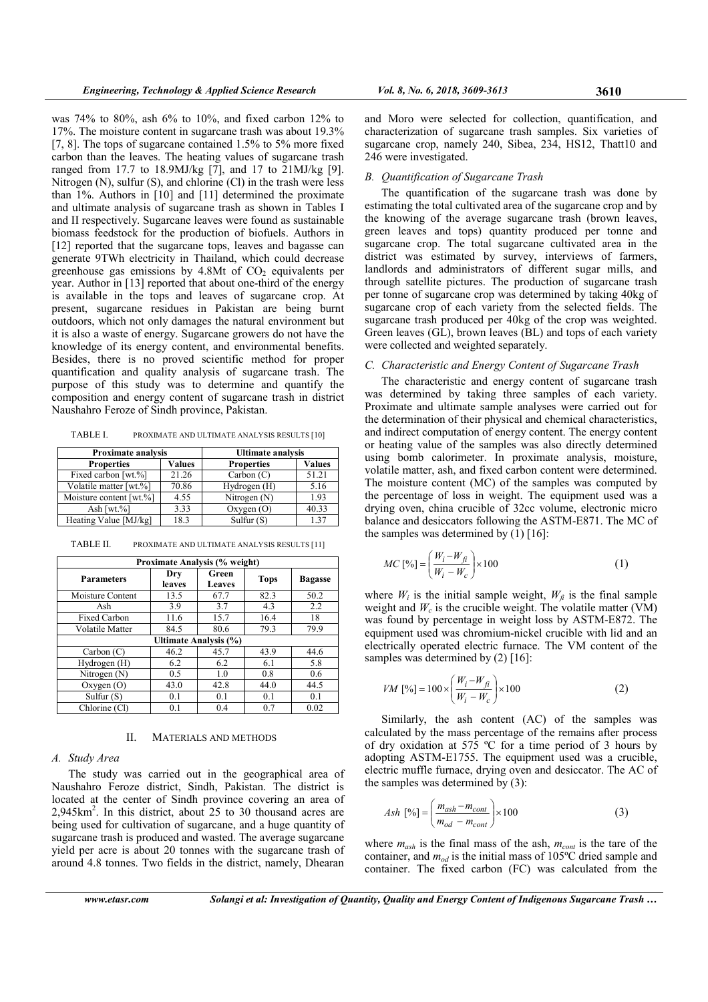was 74% to 80%, ash 6% to 10%, and fixed carbon 12% to 17%. The moisture content in sugarcane trash was about 19.3% [7, 8]. The tops of sugarcane contained 1.5% to 5% more fixed carbon than the leaves. The heating values of sugarcane trash ranged from 17.7 to 18.9MJ/kg [7], and 17 to 21MJ/kg [9]. Nitrogen (N), sulfur (S), and chlorine (Cl) in the trash were less than 1%. Authors in [10] and [11] determined the proximate and ultimate analysis of sugarcane trash as shown in Tables I and II respectively. Sugarcane leaves were found as sustainable biomass feedstock for the production of biofuels. Authors in [12] reported that the sugarcane tops, leaves and bagasse can generate 9TWh electricity in Thailand, which could decrease greenhouse gas emissions by  $4.8Mt$  of  $CO<sub>2</sub>$  equivalents per year. Author in [13] reported that about one-third of the energy is available in the tops and leaves of sugarcane crop. At present, sugarcane residues in Pakistan are being burnt outdoors, which not only damages the natural environment but it is also a waste of energy. Sugarcane growers do not have the knowledge of its energy content, and environmental benefits. Besides, there is no proved scientific method for proper quantification and quality analysis of sugarcane trash. The purpose of this study was to determine and quantify the composition and energy content of sugarcane trash in district Naushahro Feroze of Sindh province, Pakistan.

TABLE I. PROXIMATE AND ULTIMATE ANALYSIS RESULTS [10]

| <b>Proximate analysis</b> |        | <b>Ultimate analysis</b> |               |  |
|---------------------------|--------|--------------------------|---------------|--|
| <b>Properties</b>         | Values | <b>Properties</b>        | <b>Values</b> |  |
| Fixed carbon [wt.%]       | 21.26  | Carbon(C)                | 51.21         |  |
| Volatile matter [wt.%]    | 70.86  | Hydrogen (H)             | 5.16          |  |
| Moisture content [wt.%]   | 4.55   | Nitrogen (N)             | 1.93          |  |
| Ash [ $wt$ .%]            | 3.33   | Oxygen(O)                | 40.33         |  |
| Heating Value [MJ/kg]     | 18.3   | Sulfur $(S)$             | 137           |  |

TABLE II. PROXIMATE AND ULTIMATE ANALYSIS RESULTS [11]

| Proximate Analysis (% weight) |               |                        |             |                |  |  |
|-------------------------------|---------------|------------------------|-------------|----------------|--|--|
| <b>Parameters</b>             | Dry<br>leaves | Green<br><b>Leaves</b> | <b>Tops</b> | <b>Bagasse</b> |  |  |
| Moisture Content              | 13.5          | 67.7                   | 82.3        | 50.2           |  |  |
| Ash                           | 3.9           | 3.7                    | 4.3         | 2.2            |  |  |
| <b>Fixed Carbon</b>           | 11.6          | 15.7                   | 16.4        | 18             |  |  |
| <b>Volatile Matter</b>        | 84.5          | 80.6                   | 79.3        | 79.9           |  |  |
| Ultimate Analysis (%)         |               |                        |             |                |  |  |
| Carbon (C)                    | 46.2          | 45.7                   | 43.9        | 44.6           |  |  |
| Hydrogen (H)                  | 6.2           | 6.2                    | 6.1         | 5.8            |  |  |
| Nitrogen $(N)$                | 0.5           | 1.0                    | 0.8         | 0.6            |  |  |
| Oxygen(O)                     | 43.0          | 42.8                   | 44.0        | 44.5           |  |  |
| Sulfur $(S)$                  | 0.1           | 0.1                    | 0.1         | 0.1            |  |  |
| Chlorine (Cl)                 | 0.1           | 0.4                    | 0.7         | 0.02           |  |  |

## II. MATERIALS AND METHODS

## A. Study Area

The study was carried out in the geographical area of Naushahro Feroze district, Sindh, Pakistan. The district is located at the center of Sindh province covering an area of 2,945km<sup>2</sup> . In this district, about 25 to 30 thousand acres are being used for cultivation of sugarcane, and a huge quantity of sugarcane trash is produced and wasted. The average sugarcane yield per acre is about 20 tonnes with the sugarcane trash of around 4.8 tonnes. Two fields in the district, namely, Dhearan

and Moro were selected for collection, quantification, and characterization of sugarcane trash samples. Six varieties of sugarcane crop, namely 240, Sibea, 234, HS12, Thatt10 and 246 were investigated.

## B. Quantification of Sugarcane Trash

The quantification of the sugarcane trash was done by estimating the total cultivated area of the sugarcane crop and by the knowing of the average sugarcane trash (brown leaves, green leaves and tops) quantity produced per tonne and sugarcane crop. The total sugarcane cultivated area in the district was estimated by survey, interviews of farmers, landlords and administrators of different sugar mills, and through satellite pictures. The production of sugarcane trash per tonne of sugarcane crop was determined by taking 40kg of sugarcane crop of each variety from the selected fields. The sugarcane trash produced per 40kg of the crop was weighted. Green leaves (GL), brown leaves (BL) and tops of each variety were collected and weighted separately.

## C. Characteristic and Energy Content of Sugarcane Trash

The characteristic and energy content of sugarcane trash was determined by taking three samples of each variety. Proximate and ultimate sample analyses were carried out for the determination of their physical and chemical characteristics, and indirect computation of energy content. The energy content or heating value of the samples was also directly determined using bomb calorimeter. In proximate analysis, moisture, volatile matter, ash, and fixed carbon content were determined. The moisture content (MC) of the samples was computed by the percentage of loss in weight. The equipment used was a drying oven, china crucible of 32cc volume, electronic micro balance and desiccators following the ASTM-E871. The MC of the samples was determined by  $(1)$  [16]:

$$
MC\left[\%\right] = \left(\frac{W_i - W_{fi}}{W_i - W_c}\right) \times 100\tag{1}
$$

where  $W_i$  is the initial sample weight,  $W_{fi}$  is the final sample weight and  $W_c$  is the crucible weight. The volatile matter (VM) was found by percentage in weight loss by ASTM-E872. The equipment used was chromium-nickel crucible with lid and an electrically operated electric furnace. The VM content of the samples was determined by (2) [16]:

$$
VM [%] = 100 \times \left(\frac{W_i - W_{fi}}{W_i - W_c}\right) \times 100
$$
 (2)

Similarly, the ash content (AC) of the samples was calculated by the mass percentage of the remains after process of dry oxidation at 575 ºC for a time period of 3 hours by adopting ASTM-E1755. The equipment used was a crucible, electric muffle furnace, drying oven and desiccator. The AC of the samples was determined by (3):

$$
Ash \; [%] = \left(\frac{m_{ash} - m_{cont}}{m_{od} - m_{cont}}\right) \times 100\tag{3}
$$

where  $m_{ash}$  is the final mass of the ash,  $m_{cont}$  is the tare of the container, and  $m_{od}$  is the initial mass of 105°C dried sample and container. The fixed carbon (FC) was calculated from the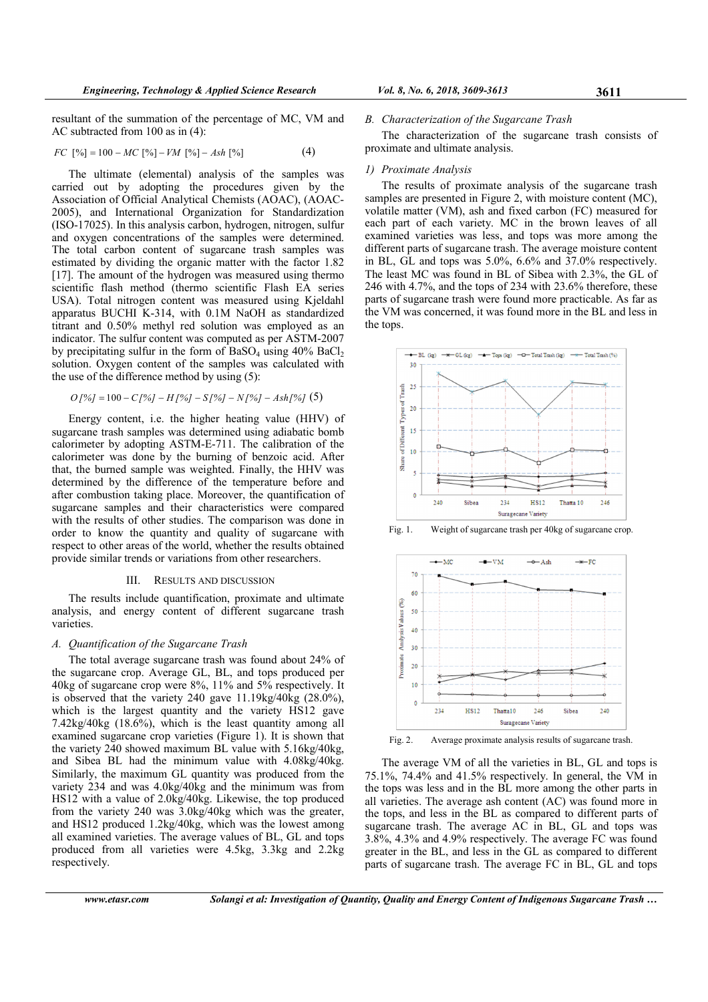resultant of the summation of the percentage of MC, VM and AC subtracted from 100 as in (4):

$$
FC \; [\%] = 100 - MC \; [\%] - VM \; [\%] - Ash \; [\%] \tag{4}
$$

The ultimate (elemental) analysis of the samples was carried out by adopting the procedures given by the Association of Official Analytical Chemists (AOAC), (AOAC-2005), and International Organization for Standardization (ISO-17025). In this analysis carbon, hydrogen, nitrogen, sulfur and oxygen concentrations of the samples were determined. The total carbon content of sugarcane trash samples was estimated by dividing the organic matter with the factor 1.82 [17]. The amount of the hydrogen was measured using thermo scientific flash method (thermo scientific Flash EA series USA). Total nitrogen content was measured using Kjeldahl apparatus BUCHI K-314, with 0.1M NaOH as standardized titrant and 0.50% methyl red solution was employed as an indicator. The sulfur content was computed as per ASTM-2007 by precipitating sulfur in the form of  $BaSO<sub>4</sub>$  using  $40\%$   $BaCl<sub>2</sub>$ solution. Oxygen content of the samples was calculated with the use of the difference method by using (5):

$$
O[%] = 100 - C[%] - H[%] - S[%] - N[%] - Ash[%] (5)
$$

Energy content, i.e. the higher heating value (HHV) of sugarcane trash samples was determined using adiabatic bomb calorimeter by adopting ASTM-E-711. The calibration of the calorimeter was done by the burning of benzoic acid. After that, the burned sample was weighted. Finally, the HHV was determined by the difference of the temperature before and after combustion taking place. Moreover, the quantification of sugarcane samples and their characteristics were compared with the results of other studies. The comparison was done in order to know the quantity and quality of sugarcane with respect to other areas of the world, whether the results obtained provide similar trends or variations from other researchers.

## III. RESULTS AND DISCUSSION

The results include quantification, proximate and ultimate analysis, and energy content of different sugarcane trash varieties.

## A. Quantification of the Sugarcane Trash

The total average sugarcane trash was found about 24% of the sugarcane crop. Average GL, BL, and tops produced per 40kg of sugarcane crop were 8%, 11% and 5% respectively. It is observed that the variety 240 gave  $11.19 \text{kg}/40 \text{kg}$  (28.0%). which is the largest quantity and the variety HS12 gave 7.42kg/40kg (18.6%), which is the least quantity among all examined sugarcane crop varieties (Figure 1). It is shown that the variety 240 showed maximum BL value with 5.16kg/40kg, and Sibea BL had the minimum value with 4.08kg/40kg. Similarly, the maximum GL quantity was produced from the variety 234 and was 4.0kg/40kg and the minimum was from HS12 with a value of 2.0kg/40kg. Likewise, the top produced from the variety 240 was 3.0kg/40kg which was the greater, and HS12 produced 1.2kg/40kg, which was the lowest among all examined varieties. The average values of BL, GL and tops produced from all varieties were 4.5kg, 3.3kg and 2.2kg respectively.

#### B. Characterization of the Sugarcane Trash

The characterization of the sugarcane trash consists of proximate and ultimate analysis.

#### 1) Proximate Analysis

The results of proximate analysis of the sugarcane trash samples are presented in Figure 2, with moisture content (MC), volatile matter (VM), ash and fixed carbon (FC) measured for each part of each variety. MC in the brown leaves of all examined varieties was less, and tops was more among the different parts of sugarcane trash. The average moisture content in BL, GL and tops was 5.0%, 6.6% and 37.0% respectively. The least MC was found in BL of Sibea with 2.3%, the GL of 246 with 4.7%, and the tops of 234 with 23.6% therefore, these parts of sugarcane trash were found more practicable. As far as the VM was concerned, it was found more in the BL and less in the tops.



Fig. 1. Weight of sugarcane trash per 40kg of sugarcane crop.



Fig. 2. Average proximate analysis results of sugarcane trash.

The average VM of all the varieties in BL, GL and tops is 75.1%, 74.4% and 41.5% respectively. In general, the VM in the tops was less and in the BL more among the other parts in all varieties. The average ash content (AC) was found more in the tops, and less in the BL as compared to different parts of sugarcane trash. The average AC in BL, GL and tops was 3.8%, 4.3% and 4.9% respectively. The average FC was found greater in the BL, and less in the GL as compared to different parts of sugarcane trash. The average FC in BL, GL and tops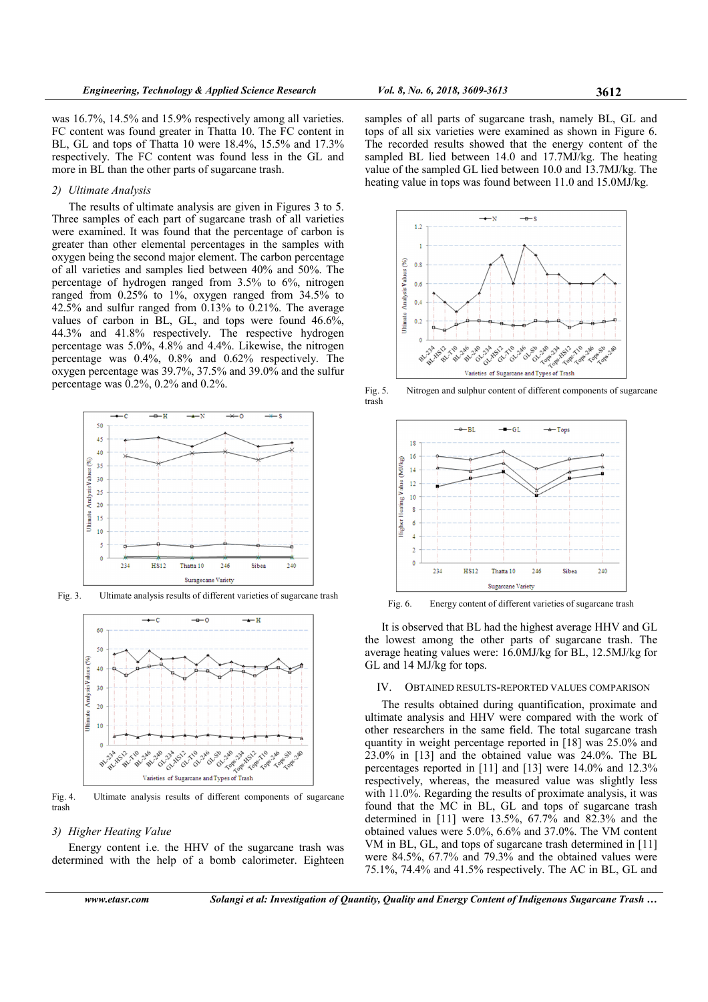was 16.7%, 14.5% and 15.9% respectively among all varieties. FC content was found greater in Thatta 10. The FC content in BL, GL and tops of Thatta 10 were 18.4%, 15.5% and 17.3% respectively. The FC content was found less in the GL and more in BL than the other parts of sugarcane trash.

## 2) Ultimate Analysis

The results of ultimate analysis are given in Figures 3 to 5. Three samples of each part of sugarcane trash of all varieties were examined. It was found that the percentage of carbon is greater than other elemental percentages in the samples with oxygen being the second major element. The carbon percentage of all varieties and samples lied between 40% and 50%. The percentage of hydrogen ranged from 3.5% to 6%, nitrogen ranged from 0.25% to 1%, oxygen ranged from 34.5% to  $42.5\%$  and sulfur ranged from 0.13% to 0.21%. The average values of carbon in BL, GL, and tops were found 46.6%, 44.3% and 41.8% respectively. The respective hydrogen percentage was 5.0%, 4.8% and 4.4%. Likewise, the nitrogen percentage was 0.4%, 0.8% and 0.62% respectively. The oxygen percentage was 39.7%, 37.5% and 39.0% and the sulfur percentage was 0.2%, 0.2% and 0.2%.



Fig. 3. Ultimate analysis results of different varieties of sugarcane trash



Fig. 4. Ultimate analysis results of different components of sugarcane trash

# 3) Higher Heating Value

Energy content i.e. the HHV of the sugarcane trash was determined with the help of a bomb calorimeter. Eighteen samples of all parts of sugarcane trash, namely BL, GL and tops of all six varieties were examined as shown in Figure 6. The recorded results showed that the energy content of the sampled BL lied between 14.0 and 17.7MJ/kg. The heating value of the sampled GL lied between 10.0 and 13.7MJ/kg. The heating value in tops was found between 11.0 and 15.0MJ/kg.



Fig. 5. Nitrogen and sulphur content of different components of sugarcane trash



Fig. 6. Energy content of different varieties of sugarcane trash

It is observed that BL had the highest average HHV and GL the lowest among the other parts of sugarcane trash. The average heating values were: 16.0MJ/kg for BL, 12.5MJ/kg for GL and 14 MJ/kg for tops.

#### IV. OBTAINED RESULTS-REPORTED VALUES COMPARISON

The results obtained during quantification, proximate and ultimate analysis and HHV were compared with the work of other researchers in the same field. The total sugarcane trash quantity in weight percentage reported in [18] was 25.0% and 23.0% in [13] and the obtained value was 24.0%. The BL percentages reported in [11] and [13] were 14.0% and 12.3% respectively, whereas, the measured value was slightly less with 11.0%. Regarding the results of proximate analysis, it was found that the MC in BL, GL and tops of sugarcane trash determined in [11] were 13.5%,  $67.7\%$  and  $82.3\%$  and the obtained values were 5.0%, 6.6% and 37.0%. The VM content VM in BL, GL, and tops of sugarcane trash determined in [11] were 84.5%, 67.7% and 79.3% and the obtained values were 75.1%, 74.4% and 41.5% respectively. The AC in BL, GL and